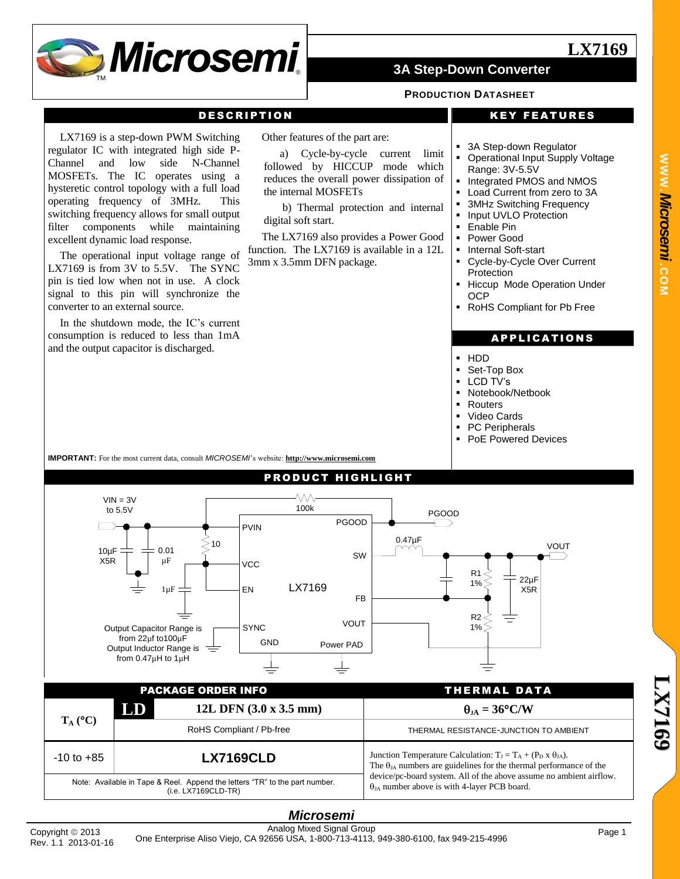

#### **PRODUCTION DATASHEET**

#### DESCRIPTION KEY FEATURES

**LX7169**

LX7169 is a step-down PWM Switching regulator IC with integrated high side P-Channel and low side N-Channel MOSFETs. The IC operates using a hysteretic control topology with a full load operating frequency of 3MHz. This switching frequency allows for small output filter components while maintaining excellent dynamic load response.

The operational input voltage range of LX7169 is from 3V to 5.5V. The SYNC pin is tied low when not in use. A clock signal to this pin will synchronize the converter to an external source.

In the shutdown mode, the IC's current consumption is reduced to less than 1mA and the output capacitor is discharged.

Other features of the part are:

a) Cycle-by-cycle current limit followed by HICCUP mode which reduces the overall power dissipation of the internal MOSFETs

b) Thermal protection and internal digital soft start.

The LX7169 also provides a Power Good function. The LX7169 is available in a 12L 3mm x 3.5mm DFN package.

- 3A Step-down Regulator
- Operational Input Supply Voltage Range: 3V-5.5V
- Integrated PMOS and NMOS
- Load Current from zero to 3A
- 3MHz Switching Frequency
- Input UVLO Protection
- Enable Pin
- Power Good
- Internal Soft-start
- Cycle-by-Cycle Over Current **Protection**
- Hiccup Mode Operation Under OCP
- RoHS Compliant for Pb Free

#### **APPLICATIONS**

- HDD
- Set-Top Box
- **LCD TV's**
- Notebook/Netbook
- Routers
- Video Cards
- PC Peripherals
- PoE Powered Devices

**IMPORTANT:** For the most current data, consult *MICROSEMI*'s website: **[http://www.microsemi.com](http://www.microsemi.com/)**



(i.e. LX7169CLD-TR)

#### *Microsemi* Analog Mixed Signal Group One Enterprise Aliso Viejo, CA 92656 USA, 1-800-713-4113, 949-380-6100, fax 949-215-4996 Copyright <sup>2013</sup> Page 1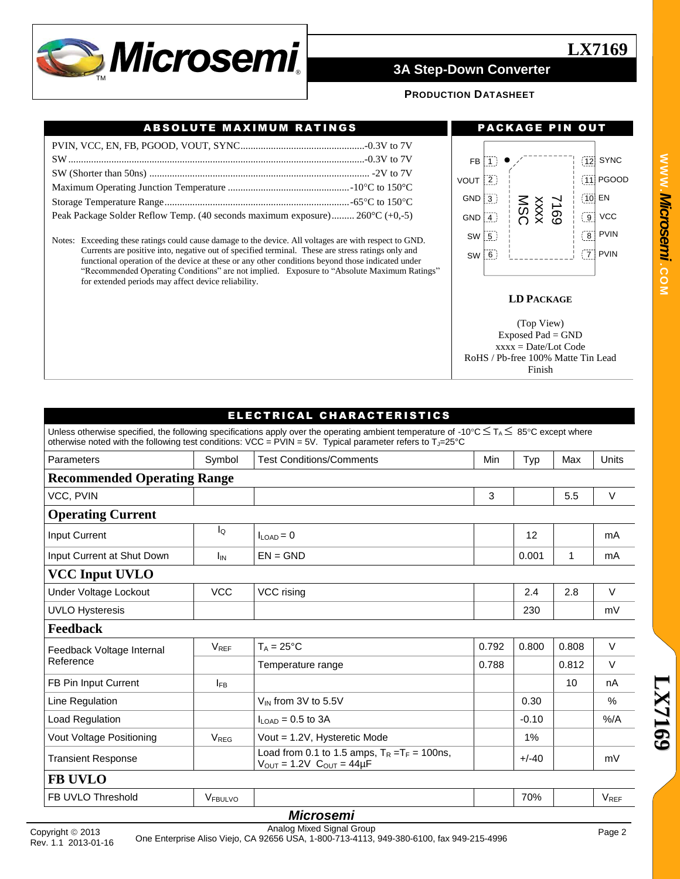

### **PRODUCTION DATASHEET**

### ABSOLUTE MAXIMUM RATINGS **ABSOLUTE MAXIMUM RATINGS**

| Peak Package Solder Reflow Temp. (40 seconds maximum exposure) 260°C (+0,-5) |  |
|------------------------------------------------------------------------------|--|

Notes: Exceeding these ratings could cause damage to the device. All voltages are with respect to GND. Currents are positive into, negative out of specified terminal. These are stress ratings only and functional operation of the device at these or any other conditions beyond those indicated under "Recommended Operating Conditions" are not implied. Exposure to "Absolute Maximum Ratings" for extended periods may affect device reliability.

**LX7169**



#### **LD PACKAGE**

(Top View) Exposed Pad = GND  $xxxx = Date/Lot Code$ RoHS / Pb-free 100% Matte Tin Lead Finish

|                                    |                        | ELECTRICAL CHARACTERISTICS                                                                                                                                                                                                                                                   |       |         |       |                        |
|------------------------------------|------------------------|------------------------------------------------------------------------------------------------------------------------------------------------------------------------------------------------------------------------------------------------------------------------------|-------|---------|-------|------------------------|
|                                    |                        | Unless otherwise specified, the following specifications apply over the operating ambient temperature of -10°C $\leq T_A \leq 85$ °C except where<br>otherwise noted with the following test conditions: VCC = $PVIN = 5V$ . Typical parameter refers to $T_{J=}25^{\circ}C$ |       |         |       |                        |
| Parameters                         | Symbol                 | <b>Test Conditions/Comments</b>                                                                                                                                                                                                                                              | Typ   | Max     | Units |                        |
| <b>Recommended Operating Range</b> |                        |                                                                                                                                                                                                                                                                              |       |         |       |                        |
| VCC, PVIN                          |                        |                                                                                                                                                                                                                                                                              | 3     |         | 5.5   | $\vee$                 |
| <b>Operating Current</b>           |                        |                                                                                                                                                                                                                                                                              |       |         |       |                        |
| <b>Input Current</b>               | lo                     | $ILOAD = 0$                                                                                                                                                                                                                                                                  |       | 12      |       | mA                     |
| Input Current at Shut Down         | $I_{IN}$               | $EN = GND$                                                                                                                                                                                                                                                                   |       | 0.001   | 1     | mA                     |
| <b>VCC Input UVLO</b>              |                        |                                                                                                                                                                                                                                                                              |       |         |       |                        |
| Under Voltage Lockout              | <b>VCC</b>             | VCC rising                                                                                                                                                                                                                                                                   |       | 2.4     | 2.8   | $\vee$                 |
| <b>UVLO Hysteresis</b>             |                        |                                                                                                                                                                                                                                                                              |       | 230     |       | mV                     |
| <b>Feedback</b>                    |                        |                                                                                                                                                                                                                                                                              |       |         |       |                        |
| Feedback Voltage Internal          | <b>V<sub>RFF</sub></b> | $T_A = 25$ °C                                                                                                                                                                                                                                                                | 0.792 | 0.800   | 0.808 | $\vee$                 |
| Reference                          |                        | Temperature range                                                                                                                                                                                                                                                            | 0.788 |         | 0.812 | $\vee$                 |
| <b>FB Pin Input Current</b>        | $I_{FB}$               |                                                                                                                                                                                                                                                                              |       |         | 10    | nA                     |
| Line Regulation                    |                        | $V_{IN}$ from 3V to 5.5V                                                                                                                                                                                                                                                     |       | 0.30    |       | $\%$                   |
| Load Regulation                    |                        | $ILOAD = 0.5$ to 3A                                                                                                                                                                                                                                                          |       | $-0.10$ |       | %A                     |
| Vout Voltage Positioning           | $V_{REG}$              | Vout = 1.2V, Hysteretic Mode                                                                                                                                                                                                                                                 |       | 1%      |       |                        |
| <b>Transient Response</b>          |                        | Load from 0.1 to 1.5 amps, $T_R = T_F = 100$ ns,<br>$V_{OUT} = 1.2V$ C <sub>OUT</sub> = 44µF                                                                                                                                                                                 |       | $+/-40$ |       | mV                     |
| <b>FB UVLO</b>                     |                        |                                                                                                                                                                                                                                                                              |       |         |       |                        |
| FB UVLO Threshold                  | VFBULVO                |                                                                                                                                                                                                                                                                              |       | 70%     |       | <b>V<sub>RFF</sub></b> |
|                                    |                        | <b>Microsemi</b>                                                                                                                                                                                                                                                             |       |         |       |                        |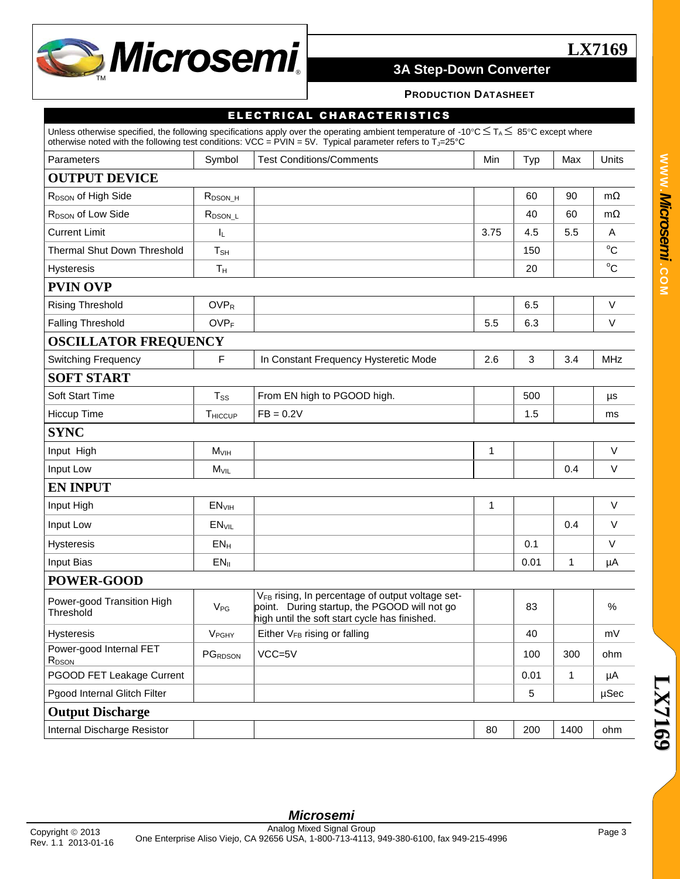

#### **PRODUCTION DATASHEET**

#### ELECTRICAL CHARACTERISTICS

|                                              |                         | Unless otherwise specified, the following specifications apply over the operating ambient temperature of -10°C $\leq T_A \leq 85$ °C except where<br>otherwise noted with the following test conditions: VCC = $PVIN = 5V$ . Typical parameter refers to $T_{J} = 25^{\circ}C$ |      |      |      |              |
|----------------------------------------------|-------------------------|--------------------------------------------------------------------------------------------------------------------------------------------------------------------------------------------------------------------------------------------------------------------------------|------|------|------|--------------|
| Parameters                                   | Symbol                  | <b>Test Conditions/Comments</b>                                                                                                                                                                                                                                                | Min  | Typ  | Max  | Units        |
| <b>OUTPUT DEVICE</b>                         |                         |                                                                                                                                                                                                                                                                                |      |      |      |              |
| R <sub>DSON</sub> of High Side               | R <sub>DSON_H</sub>     |                                                                                                                                                                                                                                                                                |      | 60   | 90   | $m\Omega$    |
| R <sub>DSON</sub> of Low Side                | $R_{DSON\_L}$           |                                                                                                                                                                                                                                                                                |      | 40   | 60   | $m\Omega$    |
| <b>Current Limit</b>                         | IL.                     |                                                                                                                                                                                                                                                                                | 3.75 | 4.5  | 5.5  | A            |
| Thermal Shut Down Threshold                  | $T_{\rm SH}$            |                                                                                                                                                                                                                                                                                |      | 150  |      | $^{\circ}$ C |
| <b>Hysteresis</b>                            | $T_{H}$                 |                                                                                                                                                                                                                                                                                |      | 20   |      | $^{\circ}$ C |
| <b>PVIN OVP</b>                              |                         |                                                                                                                                                                                                                                                                                |      |      |      |              |
| <b>Rising Threshold</b>                      | <b>OVPR</b>             |                                                                                                                                                                                                                                                                                |      | 6.5  |      | V            |
| <b>Falling Threshold</b>                     | <b>OVPF</b>             |                                                                                                                                                                                                                                                                                | 5.5  | 6.3  |      | V            |
| <b>OSCILLATOR FREQUENCY</b>                  |                         |                                                                                                                                                                                                                                                                                |      |      |      |              |
| <b>Switching Frequency</b>                   | F                       | In Constant Frequency Hysteretic Mode                                                                                                                                                                                                                                          | 2.6  | 3    | 3.4  | <b>MHz</b>   |
| <b>SOFT START</b>                            |                         |                                                                                                                                                                                                                                                                                |      |      |      |              |
| <b>Soft Start Time</b>                       | T <sub>ss</sub>         | From EN high to PGOOD high.                                                                                                                                                                                                                                                    |      | 500  |      | μs           |
| Hiccup Time                                  | THICCUP                 | $FB = 0.2V$                                                                                                                                                                                                                                                                    |      | 1.5  |      | ms           |
| <b>SYNC</b>                                  |                         |                                                                                                                                                                                                                                                                                |      |      |      |              |
| Input High                                   | M <sub>VIH</sub>        |                                                                                                                                                                                                                                                                                | 1    |      |      | $\vee$       |
| Input Low                                    | $M_{VIL}$               |                                                                                                                                                                                                                                                                                |      |      | 0.4  | $\vee$       |
| <b>EN INPUT</b>                              |                         |                                                                                                                                                                                                                                                                                |      |      |      |              |
| Input High                                   | EN <sub>VIH</sub>       |                                                                                                                                                                                                                                                                                | 1    |      |      | $\vee$       |
| Input Low                                    | <b>EN<sub>VIL</sub></b> |                                                                                                                                                                                                                                                                                |      |      | 0.4  | $\vee$       |
| Hysteresis                                   | $EN_{H}$                |                                                                                                                                                                                                                                                                                |      | 0.1  |      | $\vee$       |
| <b>Input Bias</b>                            | $EN_{\parallel}$        |                                                                                                                                                                                                                                                                                |      | 0.01 | 1    | μA           |
| POWER-GOOD                                   |                         |                                                                                                                                                                                                                                                                                |      |      |      |              |
| Power-good Transition High<br>Threshold      | $V_{PG}$                | V <sub>FB</sub> rising, In percentage of output voltage set-<br>point. During startup, the PGOOD will not go<br>high until the soft start cycle has finished.                                                                                                                  |      | 83   |      | %            |
| <b>Hysteresis</b>                            | <b>V<sub>PGHY</sub></b> | Either V <sub>FB</sub> rising or falling                                                                                                                                                                                                                                       |      | 40   |      | mV           |
| Power-good Internal FET<br>R <sub>DSON</sub> | PGRDSON                 | $VCC=5V$                                                                                                                                                                                                                                                                       |      | 100  | 300  | ohm          |
| PGOOD FET Leakage Current                    |                         |                                                                                                                                                                                                                                                                                |      | 0.01 | 1    | μA           |
| Pgood Internal Glitch Filter                 |                         |                                                                                                                                                                                                                                                                                |      | 5    |      | µSec         |
| <b>Output Discharge</b>                      |                         |                                                                                                                                                                                                                                                                                |      |      |      |              |
| Internal Discharge Resistor                  |                         |                                                                                                                                                                                                                                                                                | 80   | 200  | 1400 | ohm          |

**LX7169**

**L X 7 1 6**

**9**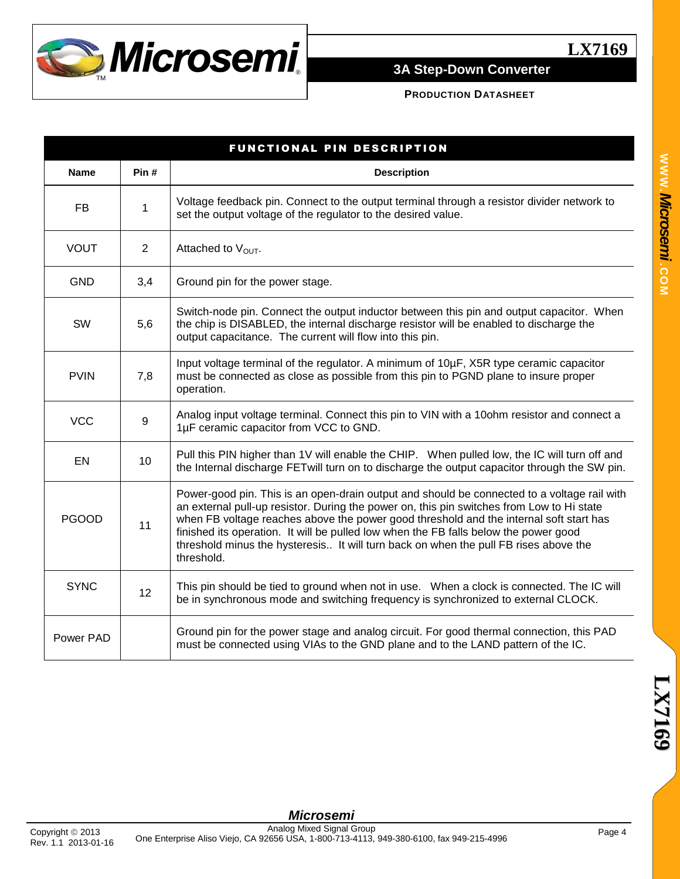

### **PRODUCTION DATASHEET**

|              |                | FUNCTIONAL PIN DESCRIPTION                                                                                                                                                                                                                                                                                                                                                                                                                                                       |
|--------------|----------------|----------------------------------------------------------------------------------------------------------------------------------------------------------------------------------------------------------------------------------------------------------------------------------------------------------------------------------------------------------------------------------------------------------------------------------------------------------------------------------|
| <b>Name</b>  | Pin#           | <b>Description</b>                                                                                                                                                                                                                                                                                                                                                                                                                                                               |
| <b>FB</b>    | 1              | Voltage feedback pin. Connect to the output terminal through a resistor divider network to<br>set the output voltage of the regulator to the desired value.                                                                                                                                                                                                                                                                                                                      |
| <b>VOUT</b>  | $\overline{2}$ | Attached to V <sub>OUT</sub> .                                                                                                                                                                                                                                                                                                                                                                                                                                                   |
| <b>GND</b>   | 3,4            | Ground pin for the power stage.                                                                                                                                                                                                                                                                                                                                                                                                                                                  |
| SW           | 5,6            | Switch-node pin. Connect the output inductor between this pin and output capacitor. When<br>the chip is DISABLED, the internal discharge resistor will be enabled to discharge the<br>output capacitance. The current will flow into this pin.                                                                                                                                                                                                                                   |
| <b>PVIN</b>  | 7,8            | Input voltage terminal of the regulator. A minimum of 10µF, X5R type ceramic capacitor<br>must be connected as close as possible from this pin to PGND plane to insure proper<br>operation.                                                                                                                                                                                                                                                                                      |
| <b>VCC</b>   | $9\,$          | Analog input voltage terminal. Connect this pin to VIN with a 10ohm resistor and connect a<br>1µF ceramic capacitor from VCC to GND.                                                                                                                                                                                                                                                                                                                                             |
| EN           | 10             | Pull this PIN higher than 1V will enable the CHIP. When pulled low, the IC will turn off and<br>the Internal discharge FETwill turn on to discharge the output capacitor through the SW pin.                                                                                                                                                                                                                                                                                     |
| <b>PGOOD</b> | 11             | Power-good pin. This is an open-drain output and should be connected to a voltage rail with<br>an external pull-up resistor. During the power on, this pin switches from Low to Hi state<br>when FB voltage reaches above the power good threshold and the internal soft start has<br>finished its operation. It will be pulled low when the FB falls below the power good<br>threshold minus the hysteresis It will turn back on when the pull FB rises above the<br>threshold. |
| <b>SYNC</b>  | 12             | This pin should be tied to ground when not in use. When a clock is connected. The IC will<br>be in synchronous mode and switching frequency is synchronized to external CLOCK.                                                                                                                                                                                                                                                                                                   |
| Power PAD    |                | Ground pin for the power stage and analog circuit. For good thermal connection, this PAD<br>must be connected using VIAs to the GND plane and to the LAND pattern of the IC.                                                                                                                                                                                                                                                                                                     |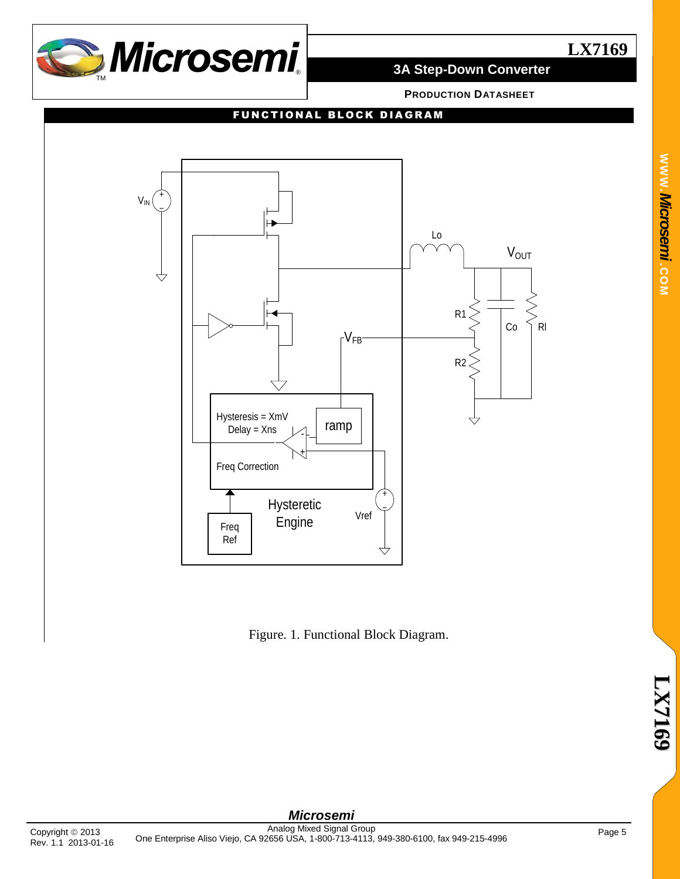

# **LX7169**

# **3A Step-Down Converter**

**PRODUCTION DATASHEET**

### FUNCTIONAL BLOCK DIAGRAM



Figure. 1. Functional Block Diagram.

*Microsemi*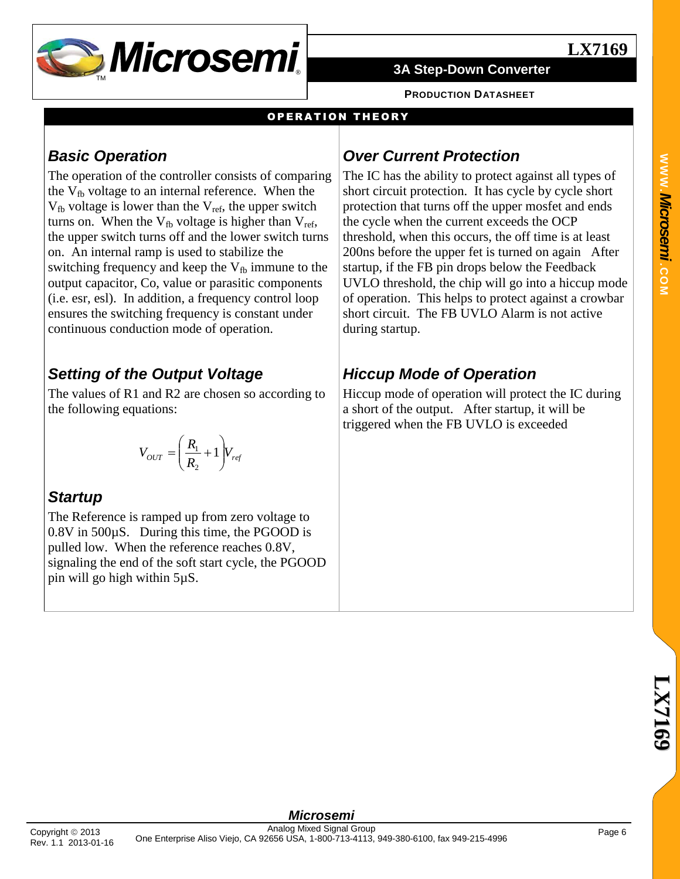

**PRODUCTION DATASHEET**

### **OPERATION THEORY**

# *Basic Operation*

The operation of the controller consists of comparing the  $V_{\text{fb}}$  voltage to an internal reference. When the  $V_{fb}$  voltage is lower than the  $V_{ref}$ , the upper switch turns on. When the  $V_{fb}$  voltage is higher than  $V_{ref}$ , the upper switch turns off and the lower switch turns on. An internal ramp is used to stabilize the switching frequency and keep the  $V_{fb}$  immune to the output capacitor, Co, value or parasitic components (i.e. esr, esl). In addition, a frequency control loop ensures the switching frequency is constant under continuous conduction mode of operation.

# *Setting of the Output Voltage*

The values of R1 and R2 are chosen so according to the following equations:

$$
V_{OUT} = \left(\frac{R_1}{R_2} + 1\right) V_{ref}
$$

# *Startup*

The Reference is ramped up from zero voltage to 0.8V in 500µS. During this time, the PGOOD is pulled low. When the reference reaches 0.8V, signaling the end of the soft start cycle, the PGOOD pin will go high within 5µS.

# *Over Current Protection*

The IC has the ability to protect against all types of short circuit protection. It has cycle by cycle short protection that turns off the upper mosfet and ends the cycle when the current exceeds the OCP threshold, when this occurs, the off time is at least 200ns before the upper fet is turned on again After startup, if the FB pin drops below the Feedback UVLO threshold, the chip will go into a hiccup mode of operation. This helps to protect against a crowbar short circuit. The FB UVLO Alarm is not active during startup.

# *Hiccup Mode of Operation*

Hiccup mode of operation will protect the IC during a short of the output. After startup, it will be triggered when the FB UVLO is exceeded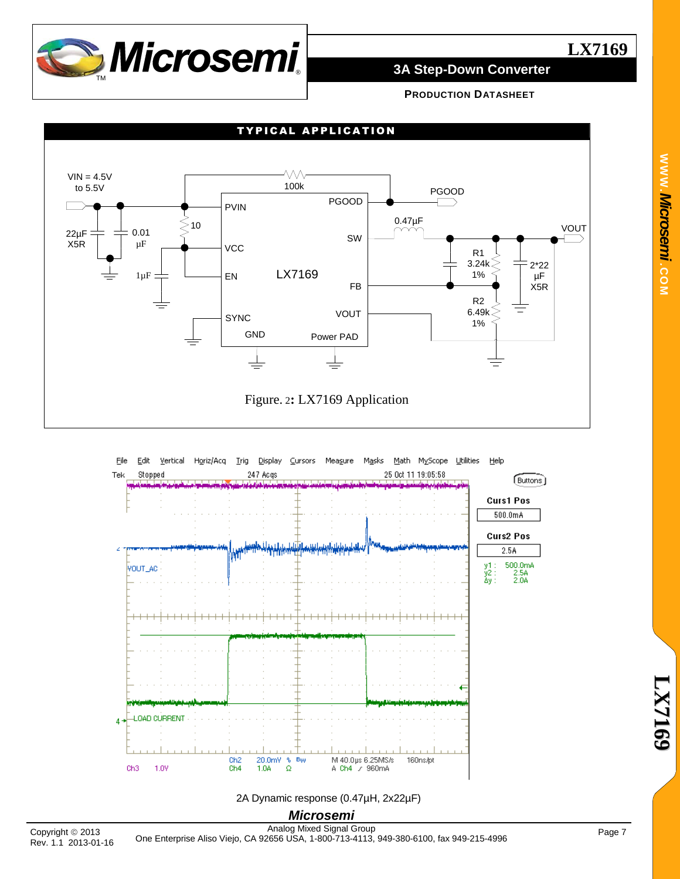

# **LX7169**

## **3A Step-Down Converter**

**PRODUCTION DATASHEET**





*Microsemi* 2A Dynamic response (0.47µH, 2x22µF)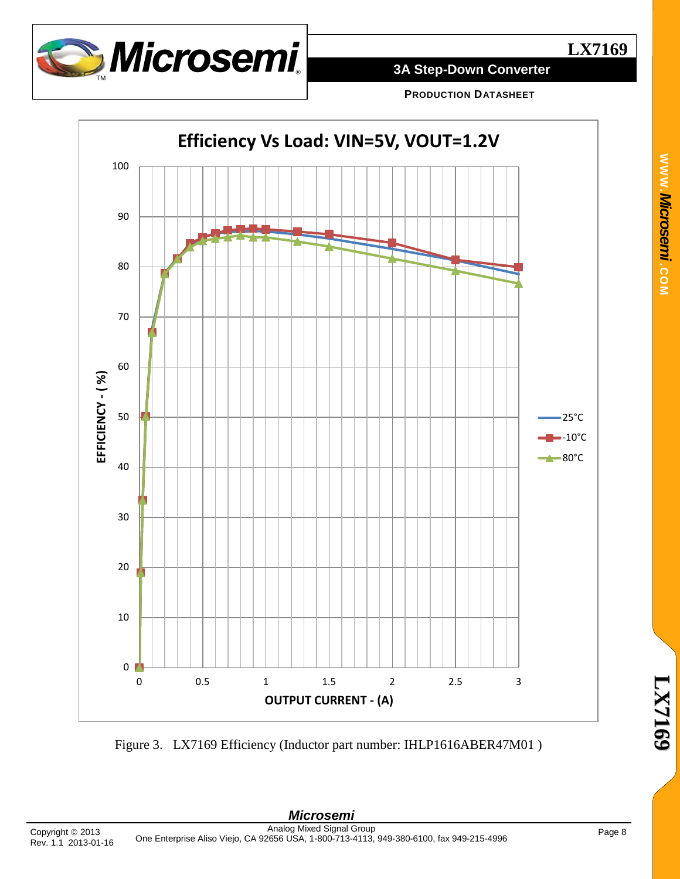

**PRODUCTION DATASHEET**



Figure 3. LX7169 Efficiency (Inductor part number: IHLP1616ABER47M01 )